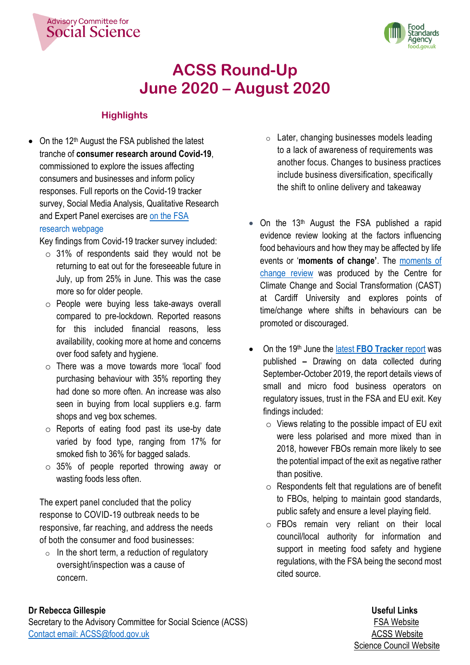



## **ACSS Round-Up June 2020 – August 2020**

### **Highlights**

**Advisory Committee for** 

**Social Science** 

• On the  $12<sup>th</sup>$  August the FSA published the latest tranche of **consumer research around Covid-19**, commissioned to explore the issues affecting consumers and businesses and inform policy responses. Full reports on the Covid-19 tracker survey, Social Media Analysis, Qualitative Research and Expert Panel exercises are [on the FSA](https://www.food.gov.uk/research/research-projects/the-covid-19-consumer-research)  [research webpage](https://www.food.gov.uk/research/research-projects/the-covid-19-consumer-research)

Key findings from Covid-19 tracker survey included:

- $\circ$  31% of respondents said they would not be returning to eat out for the foreseeable future in July, up from 25% in June. This was the case more so for older people.
- o People were buying less take-aways overall compared to pre-lockdown. Reported reasons for this included financial reasons, less availability, cooking more at home and concerns over food safety and hygiene.
- o There was a move towards more 'local' food purchasing behaviour with 35% reporting they had done so more often. An increase was also seen in buying from local suppliers e.g. farm shops and veg box schemes.
- o Reports of eating food past its use-by date varied by food type, ranging from 17% for smoked fish to 36% for bagged salads.
- $\circ$  35% of people reported throwing away or wasting foods less often.

The expert panel concluded that the policy response to COVID-19 outbreak needs to be responsive, far reaching, and address the needs of both the consumer and food businesses:

 $\circ$  In the short term, a reduction of regulatory oversight/inspection was a cause of concern.

- o Later, changing businesses models leading to a lack of awareness of requirements was another focus. Changes to business practices include business diversification, specifically the shift to online delivery and takeaway
- On the  $13<sup>th</sup>$  August the FSA published a rapid evidence review looking at the factors influencing food behaviours and how they may be affected by life events or '**moments of change'**. The [moments of](https://www.food.gov.uk/research/research-projects/rapid-review-of-moments-of-change-and-food-related-behaviours)  [change review](https://www.food.gov.uk/research/research-projects/rapid-review-of-moments-of-change-and-food-related-behaviours) was produced by the Centre for Climate Change and Social Transformation (CAST) at Cardiff University and explores points of time/change where shifts in behaviours can be promoted or discouraged.
- On the 19th June the latest **[FBO Tracker](https://www.food.gov.uk/research/regulating-our-future/fsa-small-and-micro-fbo-tracking-survey)** report was published **–** Drawing on data collected during September-October 2019, the report details views of small and micro food business operators on regulatory issues, trust in the FSA and EU exit. Key findings included:
	- $\circ$  Views relating to the possible impact of EU exit were less polarised and more mixed than in 2018, however FBOs remain more likely to see the potential impact of the exit as negative rather than positive.
	- $\circ$  Respondents felt that regulations are of benefit to FBOs, helping to maintain good standards, public safety and ensure a level playing field.
	- o FBOs remain very reliant on their local council/local authority for information and support in meeting food safety and hygiene regulations, with the FSA being the second most cited source.

### **Dr Rebecca Gillespie Useful Links**

Secretary to the Advisory Committee for Social Science (ACSS) **[FSA Website](https://www.food.gov.uk/)** FSA Website [Contact email: ACSS@food.gov.uk](mailto:ACSS@food.gov.uk) <br> [ACSS Website](https://acss.food.gov.uk/)

# Science Council Website